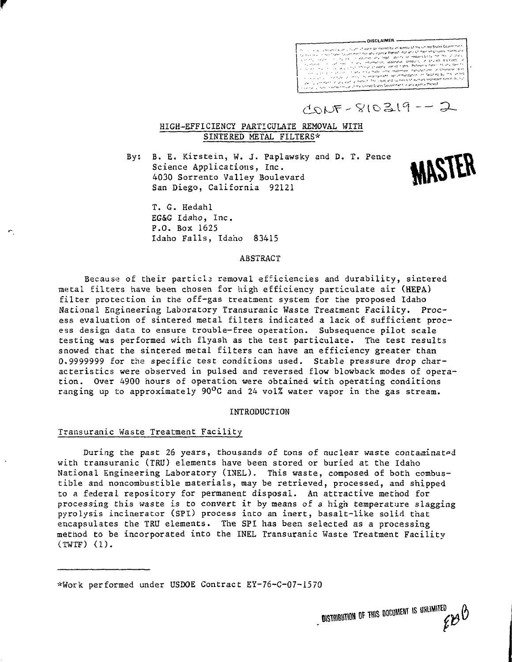

 $1055 - 810219 - 2$ 

MASTER

# HIGH-EFFICIENCY PARTICULATE REMOVAL WITH SINTERED METAL FILTERS\*

By: B. E. Kirstein, W. J. Paplawsky and D. T. Pence Science Applications, Inc. 4030 Sorrento Valley Boulevard San Diego, California 92121

T. G. Hedahl EG&G Idaho, Inc. P.O. Box 1625 Idaho Falls, Idaho 83415

## ABSTRACT

Because of their particla removal efficiencies and durability, sintered metal filters have been chosen for high efficiency particulate air (HEPA) filter protection in the off-gas treatment system for the proposed Idaho National Engineering Laboratory Transuranic Waste Treatment Facility. Process evaluation of sintered metal filters indicated a lack of sufficient process design data to ensure trouble-free operation. Subsequence pilot scale testing was performed with flyash as the test particulate. The test results snowed that the sintered metal filters can have an efficiency greater than 0.9999999 for the specific test conditions used. Stable pressure drop characteristics were observed in pulsed and reversed flow blowback modes of operation. Over 4900 hours of operation were obtained with operating conditions ranging up to approximately 90<sup>o</sup>C and 24 vol% water vapor in the gas stream.

#### INTRODUCTION

# Transuranic Waste Treatment Facility

During the past 26 years, thousands of tons of nuclear waste contaminated with transuranic (TRU) elements have been stored or buried at the Idaho National Engineering Laboratory (INEL). This waste, composed of both combustible and noncombustible materials, may be retrieved, processed, and shipped to a federal repository for permanent disposal. An attractive method for processing this waste is to convert it by means of a high temperature slagging pyrolysis incinerator (SPl) process into an inert, basalt-like solid that encapsulates the TRU elements. The SPI has been selected as a processing method to be incorporated into the INEL Transuranic Waste Treatment Facility (TWTF) (1).

\*Work performed under USDOE Contract EY-76-C-O7-157O

DISTRIBUTION OF THIS DOCUMENT IS UNLIMITED  $\overset{\scriptscriptstyle\mathrm{E}}{\mathscr{C}} \mathscr{C}^\mathrm{D}$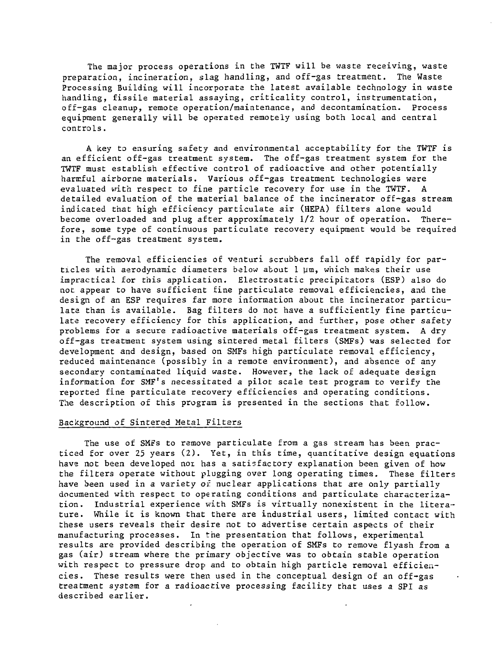The major process operations in the TWTF will be waste receiving, waste preparation, incineration, slag handling, and off-gas treatment. The Waste Processing Building will incorporate the latest available technology in waste handling, fissile material assaying, criticality control, instrumentation, off-gas cleanup, remote operation/maintenance, and decontamination. Process equipment generally will be operated remotely using both local and central controls.

A key to ensuring safety and environmental acceptability for the TWTF is an efficient off-gas treatment system. The off-gas treatment system for the TWTF must establish effective control of radioactive and other potentially harmful airborne materials. Various off-gas treatment technologies were evaluated with respect to fine particle recovery for use in the TWTF. A detailed evaluation of the material balance of the incinerator off-gas stream indicated that high efficiency particulate air (HEPA) filters alone would become overloaded and plug after approximately 1/2 hour of operation. Therefore, some type of continuous particulate recovery equipment would be required in the off-gas treatment system.

The removal efficiencies of venturi scrubbers fall off rapidly for particles with aerodynamic diameters below about  $1 \mu m$ , which makes their use impractical for this application. Electrostatic precipitators (ESP) also do not appear to have sufficient fine particulate removal efficiencies, and the design of an ESP requires far more information about the incinerator particulate than is available. Bag filters do not have a sufficiently fine particulate recovery efficiency for this application, and further, pose other safety problems for a secure radioactive materials off-gas treatment system. A dry off-gas treatment system using sintered metal filters (SMFs) was selected for development and design, based on SMFs high particulate removal efficiency, reduced maintenance (possibly in a remote environment), and absence of any secondary contaminated liquid waste. However, the lack of adequate design information for SMF's necessitated a pilot scale test program to verify the reported fine particulate recovery efficiencies and operating conditions. The description of this program is presented in the sections that follow.

# Background of Sintered Metal Filters

The use of SMFs to remove particulate from a gas stream has been practiced for over 25 years (2). Yet, in this time, quantitative design equations have not been developed not has a satisfactory explanation been given of how the filters operate without plugging over long operating times. These filters have been used in a variety of nuclear applications that are only partially documented with respect to operating conditions and particulate characterization. Industrial experience with SMFs is virtually nonexistent in the literature. While it is known that there are industrial users, limited contact with these users reveals their desire not to advertise certain aspects of their manufacturing processes. In the presentation that follows, experimental results are provided describing the operation of SMFs to remove flyash from a gas (air) stream where the primary objective was to obtain stable operation with respect to pressure drop and to obtain high particle removal efficiencies. These results were then used in the conceptual design of an off-gas treatment system for a radioactive processing facility that uses a SPI as described earlier.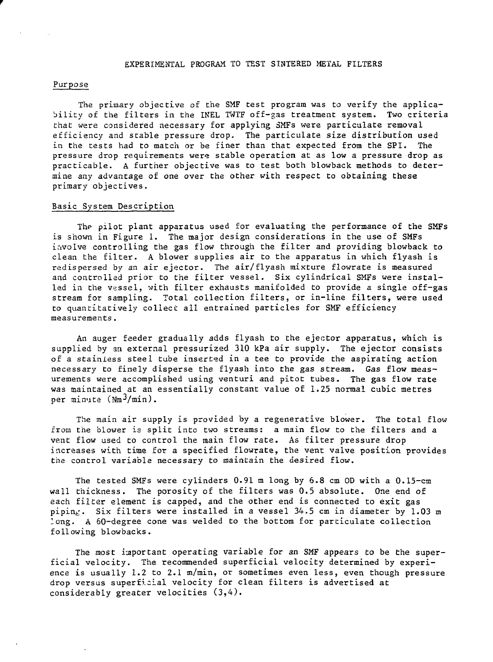#### EXPERIMENTAL PROGRAM TO TEST SINTERED METAL FILTERS

### Purpose

The primary objective of the SMF test program was to verify the applicability of the filters in the INEL TWTF off-gas treatment system. Two criteria that were considered necessary for applying SMFs were particulate removal efficiency and stable pressure drop. The particulate size distribution used in the tests had to match or be finer than that expected from the SPI. The pressure drop requirements were stable operation at as low a pressure drop as practicable. A further objective was to test both blowback methods to determine any advantage of one over the other with respect to obtaining these primary objectives.

### Basic System Description

The pilot plant apparatus used for evaluating the performance of the SMFs is shown in Figure 1. The major design considerations in the use of SMFs involve controlling the gas flow through the filter and providing blowback to clean the filter. A blower supplies air to the apparatus in which flyash is redispersed by an air ejector. The air/flyash mixture flowrate is measured and controlled prior to the filter vessel. Six cylindrical SMFs were installed in the vessel, with filter exhausts manifolded to provide a single off-gas stream for sampling. Total collection filters, or in-line filters, were used to quantitatively collect all entrained particles for SMF efficiency measurements.

An auger feeder gradually adds flyash to the ejector apparatus, which is supplied by an external pressurized 310 kPa air supply. The ejector consists of a stainless steel tube inserted in a tee to provide the aspirating action necessary to finely disperse the flyash into the gas stream. Gas flow measurements were accomplished using venturi and pitot tubes. The gas flow rate was maintained at an essentially constant value of 1.25 normal cubic metres per minute  $(Nm^3/min)$ .

The main air supply is provided by a regenerative blower. The total flow from the blower is split into two streams: a main flow to the filters and a vent flow used to control the main flow rate. As filter pressure drop increases with time for a specified flowrate, the vent valve position provides the control variable necessary to maintain the desired flow.

The tested SMFs were cylinders 0.91 m long by 6.8 cm OD with a 0.15-cm wall thickness. The porosity of the filters was 0.5 absolute. One end of each filter element is capped, and the other end is connected to exit gas piping. Six filters were installed in a vessel 34.5 cm in diameter by 1.03 m long. A 60-degree cone was welded to the bottom for particulate collection following blowbacks.

The most important operating variable for an SMF appears to be the superficial velocity. The recommended superficial velocity determined by experience is usually 1.2 to 2.1 m/min, or sometimes even less, even though pressure drop versus superficial velocity for clean filters is advertised at considerably greater velocities (3,4).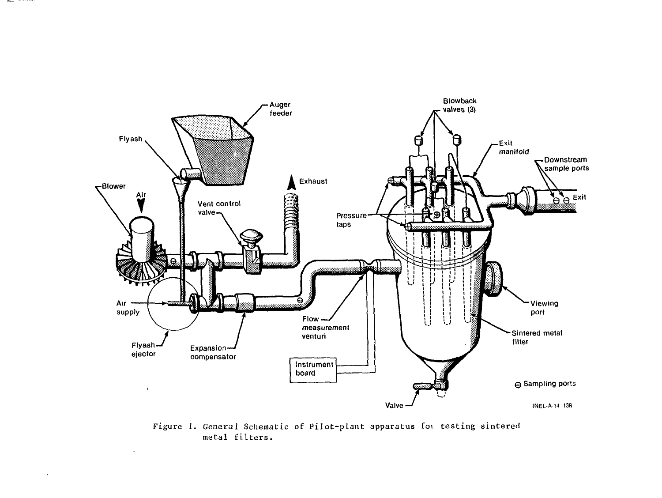

**Manager** 

Figure 1. General Schematic of Pilot-pLant apparatus Eoi testing sintered metal filters.

 $\mathcal{L}$ 

 $\lambda$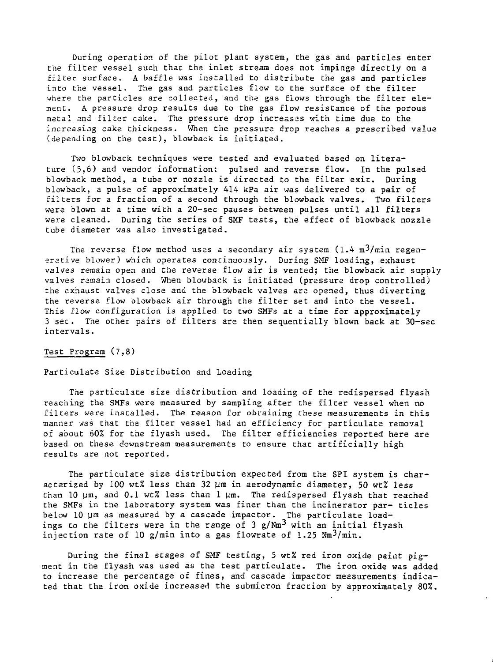During operation of the pilot plant system, the gas and particles enter the filter vessel such that the inlet stream does not impinge directly on a filter surface. A baffle was installed to distribute the gas and particles into the vessel. The gas and particles flow to the surface of the filter where the particles are collected, and the gas flows through the filter element. A pressure drop results due to the gas flow resistance cf the porous metal and filter cake. The pressure drop increases with time due to the increasing cake thickness. When the pressure drop reaches a prescribed valua (depending on the test), blowback is initiated.

Two blowback techniques were tested and evaluated based on literature (5,6) and vendor information: pulsed and reverse flow. In the pulsed blowback method, a tube or nozzle is directed to the filter exit. During blowback, a pulse of approximately 414 kPa air was delivered to a pair of filters for a fraction of a second through the blowback valves. Two filters were blown at a time with a 20-sec pauses between pulses until all filters were cleaned. During the series of SMF tests, the effect of blowback nozzle tube diameter was also investigated.

The reverse flow method uses a secondary air system  $(1.4 \text{ m}^3/\text{min}$  regenerative blower) which operates continuously. During SMF loading, exhaust valves remain open and the reverse flow air is vented; the blowback air supply valves remain closed. When blowback is initiated (pressure drop controlled) the exhaust valves close and the blowback valves are opened, thus diverting the reverse flow blowback air through the filter set and into the vessel. This flow configuration is applied to two SMFs at a time for approximately 3 sec. The other pairs of filters are then sequentially blown back at 30-sec intervals.

## Test Program (7,8)

## Particulate Size Distribution and Loading

The particulate size distribution and loading of the redispersed flyash reaching the SMFs were measured by sampling after the filter vessel when no filters were installed. The reason for obtaining these measurements in this manner was that the filter vessel had an efficiency for particulate removal of about 60% for the flyash used. The filter efficiencies reported here are based on these downstream measurements to ensure that artificially high results are not reported.

The particulate size distribution expected from the SPI system is characterized by 100 wt% less than 32  $\mu$ m in aerodynamic diameter, 50 wt% less than 10  $\mu$ m, and 0.1 wt% less than 1  $\mu$ m. The redispersed flyash that reached the SMFs in the laboratory system was finer than the incinerator par- ticles below 10 um as measured by a cascade impactor. The particulate loadings to the filters were in the range of 3 g/Nm<sup>3</sup> with an initial flyash injection rate of 10 g/min into a gas flowrate of 1.25  $Nm^3/min$ .

During the final stages of SMF testing, 5 wt% red iron oxide paint  $pig$ ment in the flyash was used as the test particulate. The iron oxide was added to increase the percentage of fines, and cascade impactor measurements indicated that the iron oxide increased the submicron fraction by approximately 80%.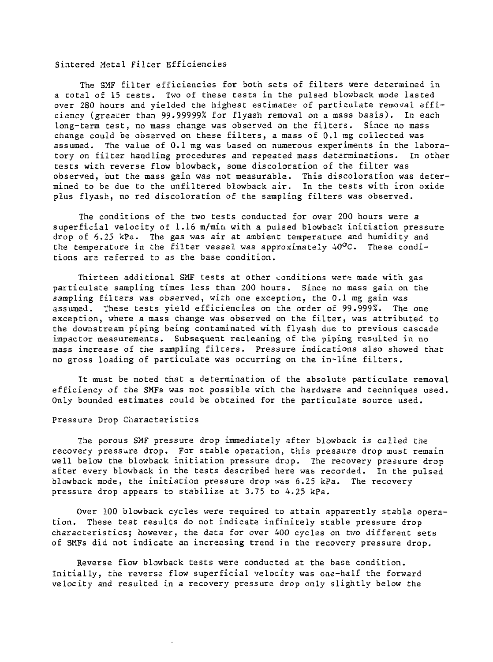## Sintered Metal Filter Efficiencies

The 3MF filter efficiencies for both sets of filters were determined in a total of 15 tests. Two of these tests in the pulsed blowback mode lasted over 280 hours and yielded the highest estimates of particulate removal efficiency (greater than 99.99999% for flyash removal on a mass basis). In each long-term test, no mass change was observed on the filters. Since no mass change could be observed on these filters, a mass of 0.1 mg collected was assumed. The value of 0.1 mg was based on numerous experiments in the laboratory on filter handling procedures and repeated mass determinations. In other tests with reverse flow blowback, some discoloration of the filter was observed, but the mass gain was not measurable. This discoloration was determined to be due to the unfiltered blowback air. In the tests with iron oxide plus flyash, no red discoloration of the sampling filters was observed.

The conditions of the two tests conducted for over 200 hours were a superficial velocity of 1.16 m/min with a pulsed blowback initiation pressure drop of 6.25 kPa. The gas was air at ambient temperature and humidity and the temperature in the filter vessel was approximately  $40^{\circ}$ C. These conditions are referred to as the base condition.

Thirteen additional SMF tests at other conditions ware made with gas particulate sampling times less than 200 hours. Since no mass gain on the sampling filters was observed, with one exception, the 0.1 mg gain was assumed. These tests yield efficiencies on the order of 99.999%. The one exception, where a mass change was observed on the filter, was attributed to the downstream piping being contaminated with flyash due to previous cascade impactor measurements. Subsequent recleaning of the piping resulted in no mass increase of the sampling filters. Pressure indications also showed that no gross loading of particulate was occurring on the in-line filters.

It must be noted that a determination of the absolute particulate removal efficiency of the SMFs was not possible with the hardware and techniques used. Only bounded estimates could be obtained for the particulate source used.

### Pressure Drop Characteristics

The porous SMF pressure drop immediately after blowback is called the recovery pressure drop. For stable operation, this pressure drop must remain well below the blowback initiation pressure drop. The recovery pressure drop after every blowback in the tests described here was recorded. In the pulsed blowback mode, the initiation pressure drop was 6.25 kPa. The recovery pressure drop appears to stabilize at 3.75 to 4.25 kPa.

Over 100 blowback cycles were required to attain apparently stable operation. These test results do not indicate infinitely stable pressure drop characteristics; however, the data for over 400 cycles on two different sets of SMFs did not indicate an increasing trend in the recovery pressure drop.

Reverse flow blowback tests were conducted at the base condition. Initially, the reverse flow superficial velocity was one-half the forward velocity and resulted in a recovery pressure drop only slightly below the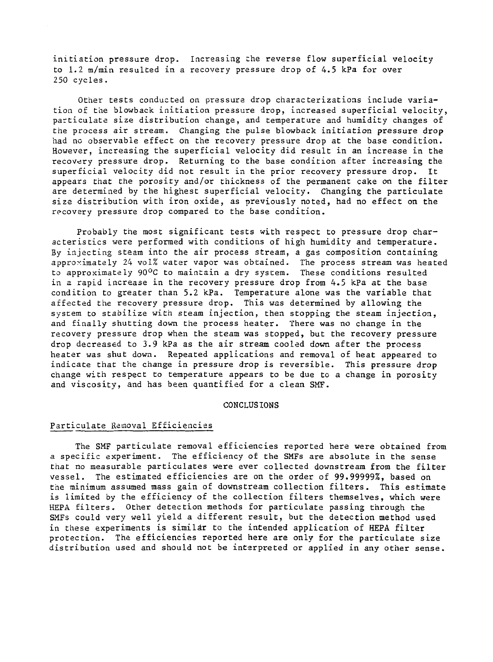initiation pressure drop. Increasing the reverse flow superficial velocity to 1.2 m/min resulted in a recovery pressure drop of 4.5 kPa for over 250 cycles.

Other tests conducted on pressure drop characterizations include variation of the blowback initiation pressure drop, increased superficial velocity, particulate size distribution change, and temperature and humidity changes of the process air stream. Changing the pulse blowback initiation pressure drop had no observable effect on the recovery pressure drop at the base condition. However, increasing the superficial velocity did result in an increase in the recovery pressure drop. Returning to the base condition after increasing the superficial velocity did not result in the prior recovery pressure drop. It appears that the porosity and/or thickness of the permanent cake on the filter are determined by the highest superficial velocity. Changing the particulate size distribution with iron oxide, as previously noted, had no effect on the recovery pressure drop compared to the base condition.

Probably the most significant tests with respect to pressure drop characteristics were performed with conditions of high humidity and temperature. By injecting steam into the air process stream, a gas composition containing approximately 24 vol% water vapor was obtained. The process stream was heated to approximately 90°C to maintain a dry system. These conditions resulted in a rapid increase in the recovery pressure drop from 4.5 kPa at the base condition to greater than 5.2 kPa. Temperature alone was the variable that affected the recovery pressure drop. This was determined by allowing the system to stabilize with steam injection, then stopping the steam injection, and finally shutting down the process heater. There was no change in the recovery pressure drop when the steam was stopped, but the recovery pressure drop decreased to 3.9 kPa as the air stream cooled down after the process heater was shut down. Repeated applications and removal of heat appeared to indicate that the change in pressure drop is reversible. This pressure drop change with respect to temperature appears to be due to a change in porosity and viscosity, and has been quantified for a clean SMF.

#### CONCLUSIONS

## Particulate Removal Efficiencies

The SMF particulate removal efficiencies reported here were obtained from a specific experiment. The efficiency of the SMFs are absolute in the sense that no measurable particulates were ever collected downstream from the filter vessel. The estimated efficiencies are on the order of 99.99999%, based on the minimum assumed mass gain of downstream collection filters. This estimate is limited by the efficiency of the collection filters themselves, which were HEPA filters. Other detection methods for particulate passing through the SMFs could very well yield a different result, but the detection method used in these experiments is similar to the intended application of HEPA filter protection. The efficiencies reported here are only for the particulate size distribution used and should not be interpreted or applied in any other sense.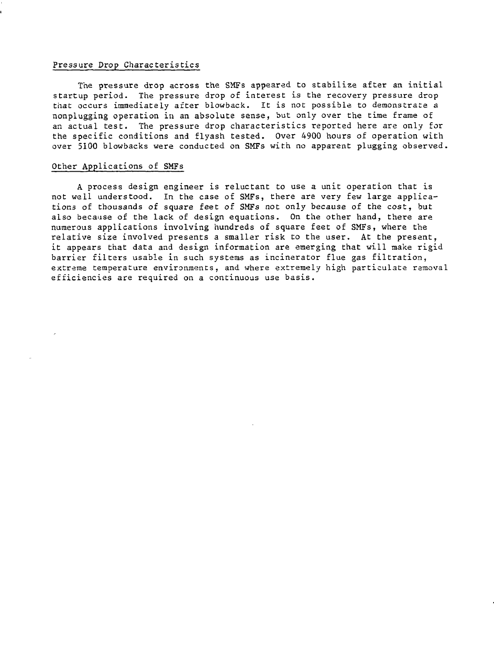# Pressure Drop Characteristics

The pressure drop across the SMFs appeared to stabilize after an initial startup period. The pressure drop of interest is the recovery pressure drop that occurs immediately after blowback. It is not possible to demonstrate a nonplugging operation in an absolute sense, but only over the time frame of an actual test. The pressure drop characteristics reported here are only for the specific conditions and flyash tested. Over 4900 hours of operation with over 5100 blowbacks were conducted on SMFs with no apparent plugging observed.

# Other Applications of SMFs

A process design engineer is reluctant to use a unit operation that is not well understood. In the case of SMFs, there are very few large applications of thousands of square feet of SMFs not only because of the cost, but also because of the lack of design equations. On the other hand, there are numerous applications involving hundreds of square feet of SMFs, where the relative size involved presents a smaller risk to the user. At the present, it appears that data and design information are emerging that will make rigid barrier filters usable in such systems as incinerator flue gas filtration, extreme temperature environments, and where extremely high particulate removal efficiencies are required on a continuous use basis.